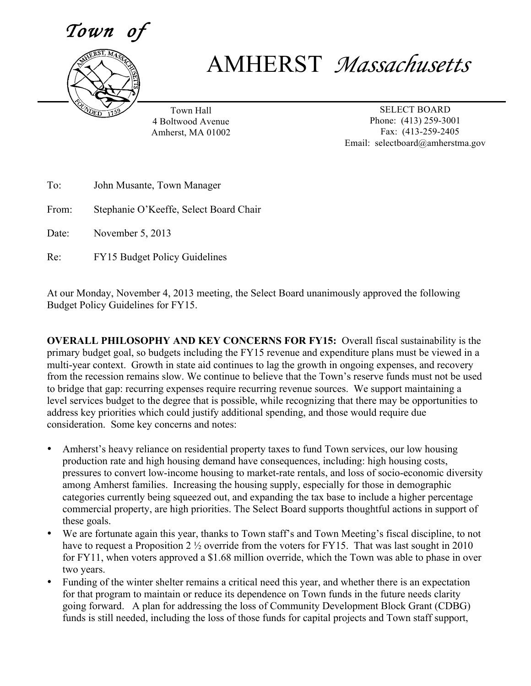$\it Town$ 



## AMHERST *Massachusetts*

Town Hall 4 Boltwood Avenue Amherst, MA 01002

SELECT BOARD Phone: (413) 259-3001 Fax: (413-259-2405 Email: selectboard@amherstma.gov

| To:   | John Musante, Town Manager             |
|-------|----------------------------------------|
| From: | Stephanie O'Keeffe, Select Board Chair |
| Date: | November 5, 2013                       |
| Re:   | <b>FY15 Budget Policy Guidelines</b>   |

At our Monday, November 4, 2013 meeting, the Select Board unanimously approved the following Budget Policy Guidelines for FY15.

**OVERALL PHILOSOPHY AND KEY CONCERNS FOR FY15:** Overall fiscal sustainability is the primary budget goal, so budgets including the FY15 revenue and expenditure plans must be viewed in a multi-year context. Growth in state aid continues to lag the growth in ongoing expenses, and recovery from the recession remains slow. We continue to believe that the Town's reserve funds must not be used to bridge that gap: recurring expenses require recurring revenue sources. We support maintaining a level services budget to the degree that is possible, while recognizing that there may be opportunities to address key priorities which could justify additional spending, and those would require due consideration. Some key concerns and notes:

- Amherst's heavy reliance on residential property taxes to fund Town services, our low housing production rate and high housing demand have consequences, including: high housing costs, pressures to convert low-income housing to market-rate rentals, and loss of socio-economic diversity among Amherst families. Increasing the housing supply, especially for those in demographic categories currently being squeezed out, and expanding the tax base to include a higher percentage commercial property, are high priorities. The Select Board supports thoughtful actions in support of these goals.
- We are fortunate again this year, thanks to Town staff's and Town Meeting's fiscal discipline, to not have to request a Proposition 2  $\frac{1}{2}$  override from the voters for FY15. That was last sought in 2010 for FY11, when voters approved a \$1.68 million override, which the Town was able to phase in over two years.
- Funding of the winter shelter remains a critical need this year, and whether there is an expectation for that program to maintain or reduce its dependence on Town funds in the future needs clarity going forward. A plan for addressing the loss of Community Development Block Grant (CDBG) funds is still needed, including the loss of those funds for capital projects and Town staff support,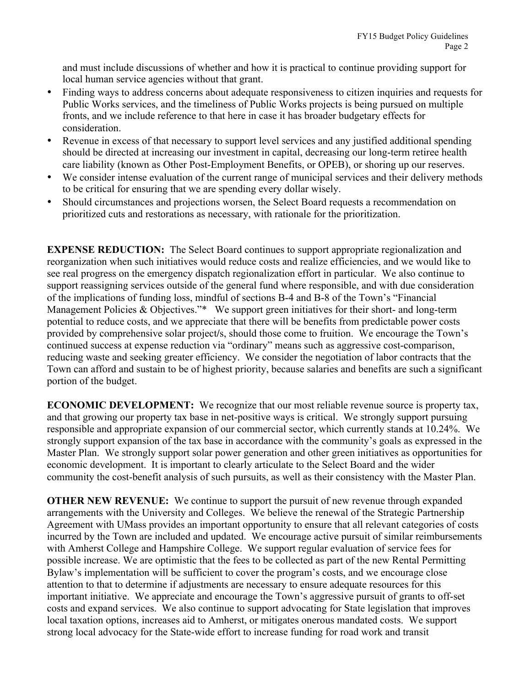and must include discussions of whether and how it is practical to continue providing support for local human service agencies without that grant.

- Finding ways to address concerns about adequate responsiveness to citizen inquiries and requests for Public Works services, and the timeliness of Public Works projects is being pursued on multiple fronts, and we include reference to that here in case it has broader budgetary effects for consideration.
- Revenue in excess of that necessary to support level services and any justified additional spending should be directed at increasing our investment in capital, decreasing our long-term retiree health care liability (known as Other Post-Employment Benefits, or OPEB), or shoring up our reserves.
- We consider intense evaluation of the current range of municipal services and their delivery methods to be critical for ensuring that we are spending every dollar wisely.
- Should circumstances and projections worsen, the Select Board requests a recommendation on prioritized cuts and restorations as necessary, with rationale for the prioritization.

**EXPENSE REDUCTION:** The Select Board continues to support appropriate regionalization and reorganization when such initiatives would reduce costs and realize efficiencies, and we would like to see real progress on the emergency dispatch regionalization effort in particular. We also continue to support reassigning services outside of the general fund where responsible, and with due consideration of the implications of funding loss, mindful of sections B-4 and B-8 of the Town's "Financial Management Policies & Objectives."\* We support green initiatives for their short- and long-term potential to reduce costs, and we appreciate that there will be benefits from predictable power costs provided by comprehensive solar project**/**s, should those come to fruition. We encourage the Town's continued success at expense reduction via "ordinary" means such as aggressive cost-comparison, reducing waste and seeking greater efficiency. We consider the negotiation of labor contracts that the Town can afford and sustain to be of highest priority, because salaries and benefits are such a significant portion of the budget.

**ECONOMIC DEVELOPMENT:** We recognize that our most reliable revenue source is property tax, and that growing our property tax base in net-positive ways is critical. We strongly support pursuing responsible and appropriate expansion of our commercial sector, which currently stands at 10.24%. We strongly support expansion of the tax base in accordance with the community's goals as expressed in the Master Plan. We strongly support solar power generation and other green initiatives as opportunities for economic development. It is important to clearly articulate to the Select Board and the wider community the cost-benefit analysis of such pursuits, as well as their consistency with the Master Plan.

**OTHER NEW REVENUE:** We continue to support the pursuit of new revenue through expanded arrangements with the University and Colleges. We believe the renewal of the Strategic Partnership Agreement with UMass provides an important opportunity to ensure that all relevant categories of costs incurred by the Town are included and updated. We encourage active pursuit of similar reimbursements with Amherst College and Hampshire College. We support regular evaluation of service fees for possible increase. We are optimistic that the fees to be collected as part of the new Rental Permitting Bylaw's implementation will be sufficient to cover the program's costs, and we encourage close attention to that to determine if adjustments are necessary to ensure adequate resources for this important initiative. We appreciate and encourage the Town's aggressive pursuit of grants to off-set costs and expand services. We also continue to support advocating for State legislation that improves local taxation options, increases aid to Amherst, or mitigates onerous mandated costs. We support strong local advocacy for the State-wide effort to increase funding for road work and transit